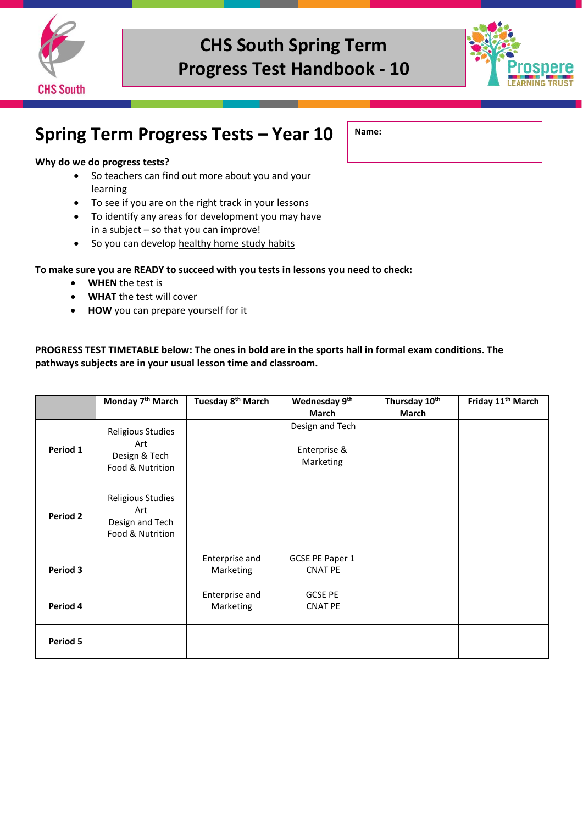



### **Spring Term Progress Tests – Year 10**

#### **Why do we do progress tests?**

- So teachers can find out more about you and your learning
- To see if you are on the right track in your lessons
- To identify any areas for development you may have in a subject – so that you can improve!
- So you can develop healthy home study habits

#### **To make sure you are READY to succeed with you tests in lessons you need to check:**

- **WHEN** the test is
- **WHAT** the test will cover
- **HOW** you can prepare yourself for it

#### **PROGRESS TEST TIMETABLE below: The ones in bold are in the sports hall in formal exam conditions. The pathways subjects are in your usual lesson time and classroom.**

|                 | Monday 7 <sup>th</sup> March                                    | Tuesday 8 <sup>th</sup> March | Wednesday 9th<br>March                       | Thursday 10th<br>March | Friday 11 <sup>th</sup> March |
|-----------------|-----------------------------------------------------------------|-------------------------------|----------------------------------------------|------------------------|-------------------------------|
| Period 1        | Religious Studies<br>Art<br>Design & Tech<br>Food & Nutrition   |                               | Design and Tech<br>Enterprise &<br>Marketing |                        |                               |
| <b>Period 2</b> | Religious Studies<br>Art<br>Design and Tech<br>Food & Nutrition |                               |                                              |                        |                               |
| Period 3        |                                                                 | Enterprise and<br>Marketing   | GCSE PE Paper 1<br><b>CNAT PE</b>            |                        |                               |
| Period 4        |                                                                 | Enterprise and<br>Marketing   | <b>GCSE PE</b><br><b>CNAT PE</b>             |                        |                               |
| Period 5        |                                                                 |                               |                                              |                        |                               |

### **Name:**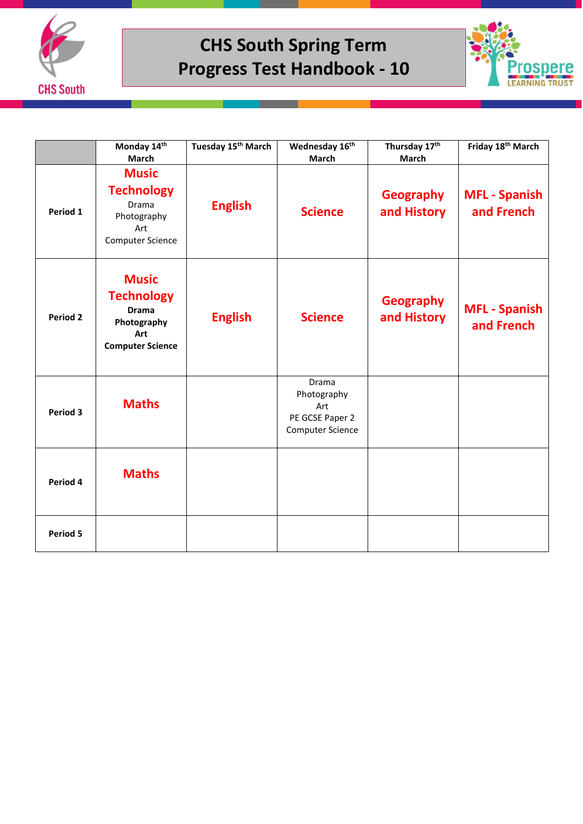



|                 | Monday 14th<br><b>March</b>                                                                        | Tuesday 15 <sup>th</sup> March | Wednesday 16th<br><b>March</b>                                            | Thursday 17th<br>March          | Friday 18th March                  |
|-----------------|----------------------------------------------------------------------------------------------------|--------------------------------|---------------------------------------------------------------------------|---------------------------------|------------------------------------|
| Period 1        | <b>Music</b><br><b>Technology</b><br>Drama<br>Photography<br>Art<br><b>Computer Science</b>        | <b>English</b>                 | <b>Science</b>                                                            | <b>Geography</b><br>and History | <b>MFL - Spanish</b><br>and French |
| <b>Period 2</b> | <b>Music</b><br><b>Technology</b><br><b>Drama</b><br>Photography<br>Art<br><b>Computer Science</b> | <b>English</b>                 | <b>Science</b>                                                            | <b>Geography</b><br>and History | <b>MFL - Spanish</b><br>and French |
| Period 3        | <b>Maths</b>                                                                                       |                                | Drama<br>Photography<br>Art<br>PE GCSE Paper 2<br><b>Computer Science</b> |                                 |                                    |
| Period 4        | <b>Maths</b>                                                                                       |                                |                                                                           |                                 |                                    |
| Period 5        |                                                                                                    |                                |                                                                           |                                 |                                    |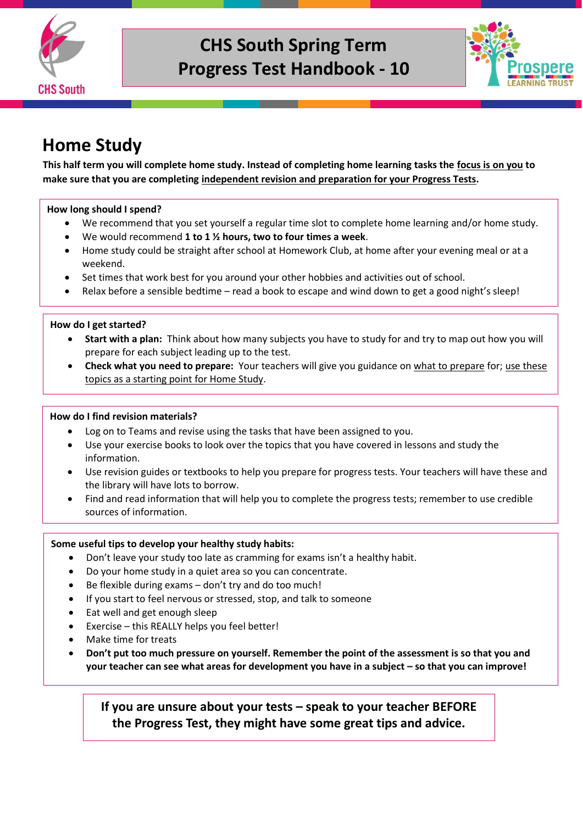



### **Home Study**

**This half term you will complete home study. Instead of completing home learning tasks the focus is on you to make sure that you are completing independent revision and preparation for your Progress Tests.** 

#### **How long should I spend?**

- We recommend that you set yourself a regular time slot to complete home learning and/or home study.
- We would recommend **1 to 1 ½ hours, two to four times a week**.
- Home study could be straight after school at Homework Club, at home after your evening meal or at a weekend.
- Set times that work best for you around your other hobbies and activities out of school.
- Relax before a sensible bedtime read a book to escape and wind down to get a good night's sleep!

#### **How do I get started?**

- **Start with a plan:** Think about how many subjects you have to study for and try to map out how you will prepare for each subject leading up to the test.
- **Check what you need to prepare:** Your teachers will give you guidance on what to prepare for; use these topics as a starting point for Home Study.

#### **How do I find revision materials?**

- Log on to Teams and revise using the tasks that have been assigned to you.
- Use your exercise books to look over the topics that you have covered in lessons and study the information.
- Use revision guides or textbooks to help you prepare for progress tests. Your teachers will have these and the library will have lots to borrow.
- Find and read information that will help you to complete the progress tests; remember to use credible sources of information.

#### **Some useful tips to develop your healthy study habits:**

- Don't leave your study too late as cramming for exams isn't a healthy habit.
- Do your home study in a quiet area so you can concentrate.
- Be flexible during exams don't try and do too much!
- If you start to feel nervous or stressed, stop, and talk to someone
- Eat well and get enough sleep
- Exercise this REALLY helps you feel better!
- Make time for treats
- **Don't put too much pressure on yourself. Remember the point of the assessment is so that you and your teacher can see what areas for development you have in a subject – so that you can improve!**

**If you are unsure about your tests – speak to your teacher BEFORE the Progress Test, they might have some great tips and advice.**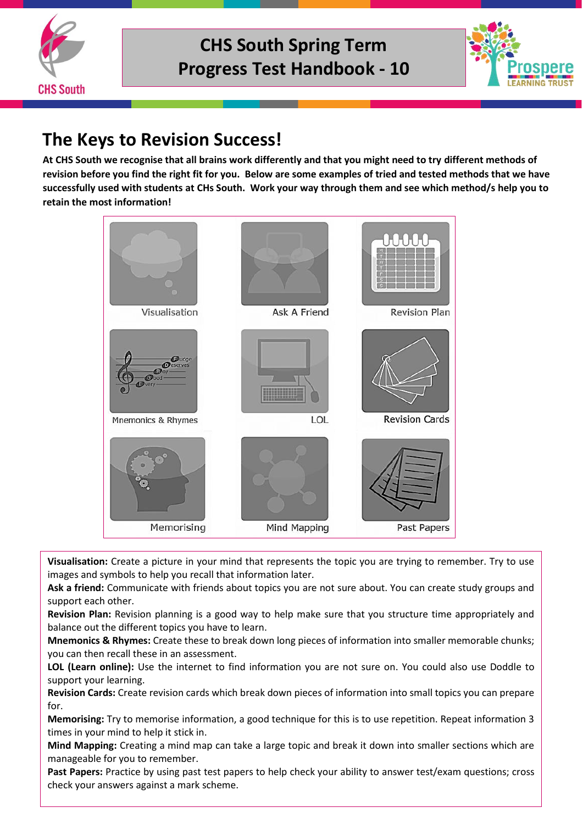



### **The Keys to Revision Success!**

**At CHS South we recognise that all brains work differently and that you might need to try different methods of revision before you find the right fit for you. Below are some examples of tried and tested methods that we have successfully used with students at CHs South. Work your way through them and see which method/s help you to retain the most information!**



**Visualisation:** Create a picture in your mind that represents the topic you are trying to remember. Try to use images and symbols to help you recall that information later.

**Ask a friend:** Communicate with friends about topics you are not sure about. You can create study groups and support each other.

**Revision Plan:** Revision planning is a good way to help make sure that you structure time appropriately and balance out the different topics you have to learn.

**Mnemonics & Rhymes:** Create these to break down long pieces of information into smaller memorable chunks; you can then recall these in an assessment.

**LOL (Learn online):** Use the internet to find information you are not sure on. You could also use Doddle to support your learning.

**Revision Cards:** Create revision cards which break down pieces of information into small topics you can prepare for.

**Memorising:** Try to memorise information, a good technique for this is to use repetition. Repeat information 3 times in your mind to help it stick in.

**Mind Mapping:** Creating a mind map can take a large topic and break it down into smaller sections which are manageable for you to remember.

**Past Papers:** Practice by using past test papers to help check your ability to answer test/exam questions; cross check your answers against a mark scheme.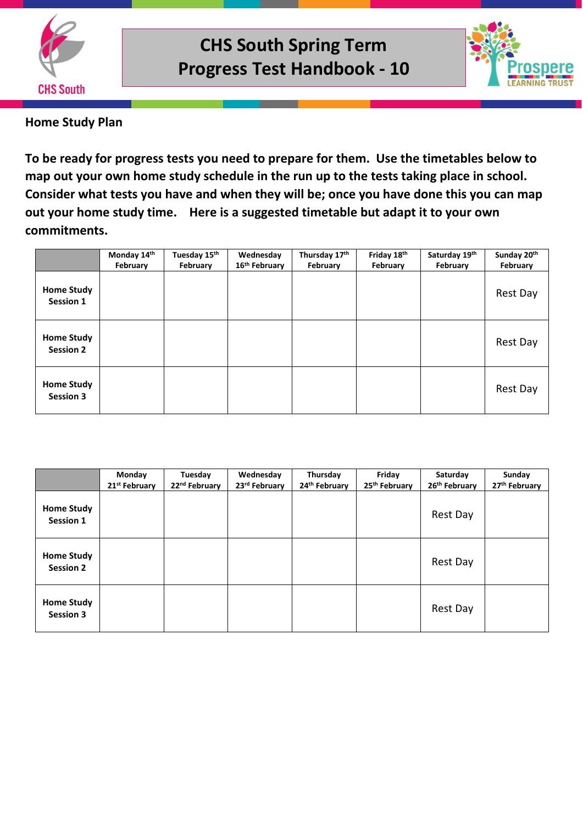



**Home Study Plan**

**To be ready for progress tests you need to prepare for them. Use the timetables below to map out your own home study schedule in the run up to the tests taking place in school. Consider what tests you have and when they will be; once you have done this you can map out your home study time. Here is a suggested timetable but adapt it to your own commitments.** 

|                                       | Monday 14th<br>February | Tuesday 15th<br>February | Wednesday<br>16 <sup>th</sup> February | Thursday 17th<br>February | Friday 18th<br>February | Saturday 19th<br>February | Sunday 20th<br>February |
|---------------------------------------|-------------------------|--------------------------|----------------------------------------|---------------------------|-------------------------|---------------------------|-------------------------|
| <b>Home Study</b><br>Session 1        |                         |                          |                                        |                           |                         |                           | Rest Day                |
| <b>Home Study</b><br><b>Session 2</b> |                         |                          |                                        |                           |                         |                           | Rest Day                |
| <b>Home Study</b><br><b>Session 3</b> |                         |                          |                                        |                           |                         |                           | Rest Day                |

|                                       | Monday<br>21 <sup>st</sup> February | Tuesday<br>22 <sup>nd</sup> February | Wednesday<br>23rd February | Thursday<br>24th February | Friday<br>25 <sup>th</sup> February | Saturday<br>26th February | Sunday<br>27 <sup>th</sup> February |
|---------------------------------------|-------------------------------------|--------------------------------------|----------------------------|---------------------------|-------------------------------------|---------------------------|-------------------------------------|
| <b>Home Study</b><br><b>Session 1</b> |                                     |                                      |                            |                           |                                     | Rest Day                  |                                     |
| <b>Home Study</b><br><b>Session 2</b> |                                     |                                      |                            |                           |                                     | Rest Day                  |                                     |
| <b>Home Study</b><br><b>Session 3</b> |                                     |                                      |                            |                           |                                     | Rest Day                  |                                     |